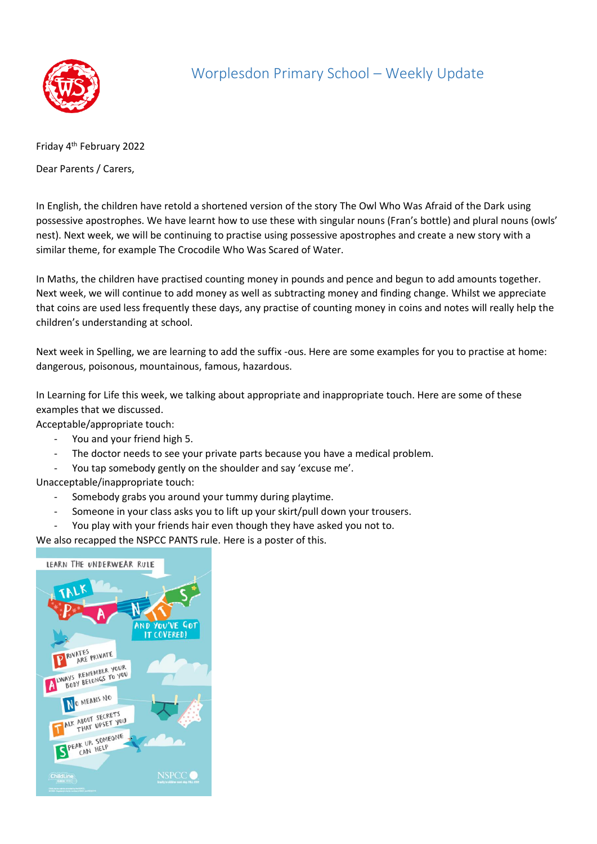

## Worplesdon Primary School – Weekly Update

Friday 4<sup>th</sup> February 2022

Dear Parents / Carers,

In English, the children have retold a shortened version of the story The Owl Who Was Afraid of the Dark using possessive apostrophes. We have learnt how to use these with singular nouns (Fran's bottle) and plural nouns (owls' nest). Next week, we will be continuing to practise using possessive apostrophes and create a new story with a similar theme, for example The Crocodile Who Was Scared of Water.

In Maths, the children have practised counting money in pounds and pence and begun to add amounts together. Next week, we will continue to add money as well as subtracting money and finding change. Whilst we appreciate that coins are used less frequently these days, any practise of counting money in coins and notes will really help the children's understanding at school.

Next week in Spelling, we are learning to add the suffix -ous. Here are some examples for you to practise at home: dangerous, poisonous, mountainous, famous, hazardous.

In Learning for Life this week, we talking about appropriate and inappropriate touch. Here are some of these examples that we discussed.

Acceptable/appropriate touch:

- You and your friend high 5.
- The doctor needs to see your private parts because you have a medical problem.
- You tap somebody gently on the shoulder and say 'excuse me'.

Unacceptable/inappropriate touch:

- Somebody grabs you around your tummy during playtime.
- Someone in your class asks you to lift up your skirt/pull down your trousers.
- You play with your friends hair even though they have asked you not to.

We also recapped the NSPCC PANTS rule. Here is a poster of this.